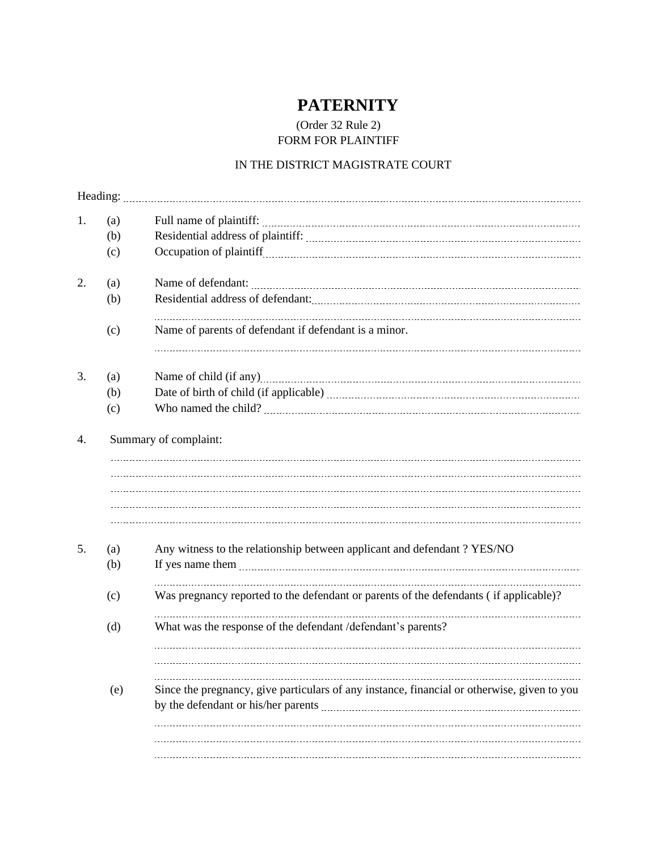## **PATERNITY**

## (Order 32 Rule 2) FORM FOR PLAINTIFF

## IN THE DISTRICT MAGISTRATE COURT

| (a) |                                                                                             |
|-----|---------------------------------------------------------------------------------------------|
| (b) |                                                                                             |
| (c) |                                                                                             |
| (a) |                                                                                             |
| (b) |                                                                                             |
| (c) | Name of parents of defendant if defendant is a minor.                                       |
| (a) |                                                                                             |
| (b) |                                                                                             |
| (c) |                                                                                             |
| (a) |                                                                                             |
| (b) |                                                                                             |
|     | Any witness to the relationship between applicant and defendant ? YES/NO                    |
| (c) | Was pregnancy reported to the defendant or parents of the defendants (if applicable)?       |
| (d) | What was the response of the defendant /defendant's parents?                                |
|     |                                                                                             |
| (e) | Since the pregnancy, give particulars of any instance, financial or otherwise, given to you |